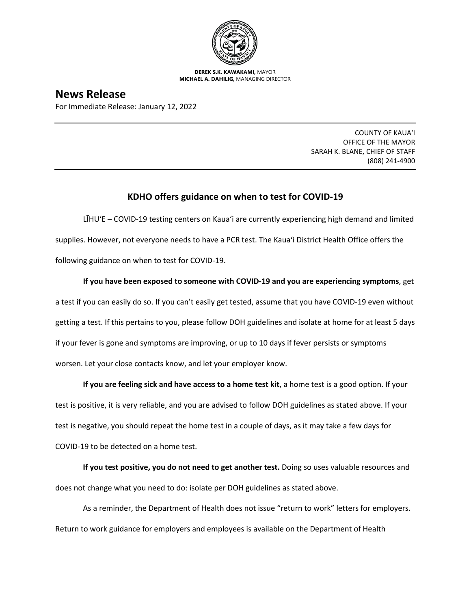

**DEREK S.K. KAWAKAMI,** MAYOR **MICHAEL A. DAHILIG,** MANAGING DIRECTOR

## **News Release**

For Immediate Release: January 12, 2022

COUNTY OF KAUA'I OFFICE OF THE MAYOR SARAH K. BLANE, CHIEF OF STAFF (808) 241-4900

## **KDHO offers guidance on when to test for COVID-19**

LĪHUʻE – COVID-19 testing centers on Kaua'i are currently experiencing high demand and limited supplies. However, not everyone needs to have a PCR test. The Kaua'i District Health Office offers the following guidance on when to test for COVID-19.

**If you have been exposed to someone with COVID-19 and you are experiencing symptoms**, get a test if you can easily do so. If you can't easily get tested, assume that you have COVID-19 even without getting a test. If this pertains to you, please follow DOH guidelines and isolate at home for at least 5 days if your fever is gone and symptoms are improving, or up to 10 days if fever persists or symptoms worsen. Let your close contacts know, and let your employer know.

**If you are feeling sick and have access to a home test kit**, a home test is a good option. If your test is positive, it is very reliable, and you are advised to follow DOH guidelines as stated above. If your test is negative, you should repeat the home test in a couple of days, as it may take a few days for COVID-19 to be detected on a home test.

**If you test positive, you do not need to get another test.** Doing so uses valuable resources and does not change what you need to do: isolate per DOH guidelines as stated above.

As a reminder, the Department of Health does not issue "return to work" letters for employers. Return to work guidance for employers and employees is available on the Department of Health